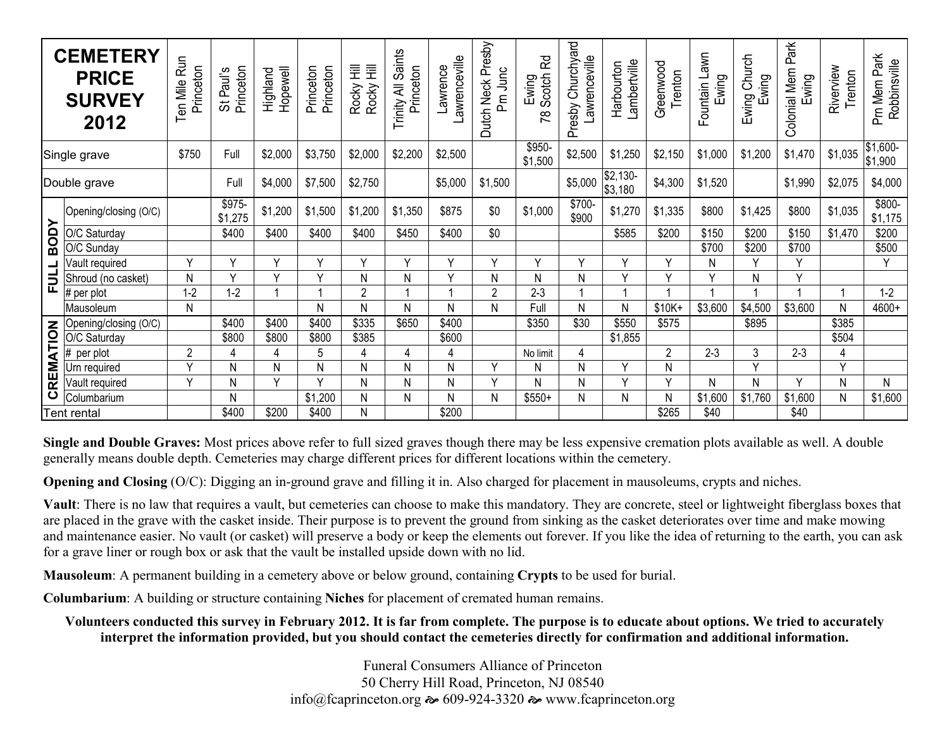| <b>CEMETERY</b><br><b>PRICE</b><br><b>SURVEY</b><br>2012 |                       | Ten Mile Run<br>Princeton | Princeton<br>St Paul's | Hopewell<br>Highland | Princeton<br>Princeton | 亖<br>亖<br>Rocky<br>Rocky | Saints<br>Princeton<br>₹<br>Trinity. | awrenceville<br>Lawrence | Dutch Neck Presby<br>Pm Junc | $\overline{\mathcal{C}}$<br>Scotch<br>Ewing<br>œ | Churchyard<br>awrenceville<br>Presby | Lambertville<br>Harbourton | Greenwood<br>Trenton | Fountain Lawn<br>Ewing | Church<br>Ewing<br>Ewing | Park<br><b>Colonial Mem</b><br>Ewing | Riverview<br>Trenton | Pm Mem Park<br>Robbinsville |
|----------------------------------------------------------|-----------------------|---------------------------|------------------------|----------------------|------------------------|--------------------------|--------------------------------------|--------------------------|------------------------------|--------------------------------------------------|--------------------------------------|----------------------------|----------------------|------------------------|--------------------------|--------------------------------------|----------------------|-----------------------------|
| Single grave                                             |                       | \$750                     | Full                   | \$2,000              | \$3,750                | \$2,000                  | \$2,200                              | \$2,500                  |                              | \$950<br>\$1,500                                 | \$2,500                              | \$1,250                    | \$2,150              | \$1,000                | \$1,200                  | \$1,470                              | \$1,035              | \$1,600-<br>\$1,900         |
| Double grave                                             |                       |                           | Full                   | \$4,000              | \$7,500                | \$2,750                  |                                      | \$5,000                  | \$1,500                      |                                                  | \$5,000                              | $$2,130-$<br>\$3,180       | \$4,300              | \$1,520                |                          | \$1,990                              | \$2,075              | \$4,000                     |
| <b>BODY</b><br>FULL<br>E                                 | Opening/closing (O/C) |                           | \$975-<br>\$1,275      | \$1,200              | \$1,500                | \$1,200                  | \$1,350                              | \$875                    | \$0                          | \$1,000                                          | \$700-<br>\$900                      | \$1,270                    | \$1,335              | \$800                  | \$1,425                  | \$800                                | \$1,035              | $$800-$<br>\$1,175          |
|                                                          | O/C Saturday          |                           | \$400                  | \$400                | \$400                  | \$400                    | \$450                                | \$400                    | \$0                          |                                                  |                                      | \$585                      | \$200                | \$150                  | \$200                    | \$150                                | \$1,470              | \$200                       |
|                                                          | O/C Sunday            |                           |                        |                      |                        |                          |                                      |                          |                              |                                                  |                                      |                            |                      | \$700                  | \$200                    | \$700                                |                      | \$500                       |
|                                                          | Vault required        | $\checkmark$              | v                      | Y                    | v                      | v                        | $\checkmark$                         | $\checkmark$             | $\vee$                       | $\checkmark$                                     | $\checkmark$                         | $\checkmark$               | Y                    | N                      | $\checkmark$             | Y                                    |                      | Y                           |
|                                                          | Shroud (no casket)    | Ν                         | v                      | $\vee$               | $\vee$                 | N                        | N                                    | $\checkmark$             | Ν                            | N                                                | N                                    | $\checkmark$               | $\vee$               | v                      | N                        | $\checkmark$                         |                      |                             |
|                                                          | # per plot            | $1 - 2$                   | $1 - 2$                |                      |                        | $\overline{2}$           |                                      |                          | $\overline{2}$               | $2 - 3$                                          |                                      |                            |                      |                        |                          |                                      |                      | $1 - 2$                     |
|                                                          | Mausoleum             | N                         |                        |                      | N                      | N                        | N                                    | N                        | N                            | Full                                             | N                                    | N                          | $$10K+$              | \$3,600                | \$4,500                  | \$3,600                              | N                    | 4600+                       |
| CREMATION                                                | Opening/closing (O/C) |                           | \$400                  | \$400                | \$400                  | \$335                    | \$650                                | \$400                    |                              | \$350                                            | \$30                                 | \$550                      | \$575                |                        | \$895                    |                                      | \$385                |                             |
|                                                          | O/C Saturday          |                           | \$800                  | \$800                | \$800                  | \$385                    |                                      | \$600                    |                              |                                                  |                                      | \$1,855                    |                      |                        |                          |                                      | \$504                |                             |
|                                                          | per plot              | $\overline{2}$            | 4                      | 4                    | 5                      | 4                        | 4                                    | 4                        |                              | No limit                                         | 4                                    |                            | $\overline{2}$       | $2 - 3$                | 3                        | $2 - 3$                              | 4                    |                             |
|                                                          | Jrn required          | v                         | N                      | N                    | Ν                      | N                        | Ν                                    | N                        | $\vee$                       | N                                                | N                                    | $\vee$                     | Ν                    |                        | $\vee$                   |                                      | $\vee$               |                             |
|                                                          | Vault required        | $\vee$                    | N                      | Y                    | $\vee$                 | N                        | N                                    | N                        | $\vee$                       | N                                                | N                                    | $\vee$                     | $\vee$               | Ν                      | N                        | $\checkmark$                         | N                    | N                           |
|                                                          | Columbarium           |                           | N                      |                      | \$1,200                | N                        | N                                    | N                        | N                            | $$550+$                                          | N                                    | N                          | N                    | \$1,600                | \$1,760                  | \$1,600                              | N                    | \$1,600                     |
| <b>Tent rental</b>                                       |                       |                           | \$400                  | \$200                | \$400                  | N                        |                                      | \$200                    |                              |                                                  |                                      |                            | \$265                | \$40                   |                          | \$40                                 |                      |                             |

**Single and Double Graves:** Most prices above refer to full sized graves though there may be less expensive cremation plots available as well. A double generally means double depth. Cemeteries may charge different prices for different locations within the cemetery.

**Opening and Closing** (O/C): Digging an in-ground grave and filling it in. Also charged for placement in mausoleums, crypts and niches.

**Vault**: There is no law that requires a vault, but cemeteries can choose to make this mandatory. They are concrete, steel or lightweight fiberglass boxes that are placed in the grave with the casket inside. Their purpose is to prevent the ground from sinking as the casket deteriorates over time and make mowing and maintenance easier. No vault (or casket) will preserve a body or keep the elements out forever. If you like the idea of returning to the earth, you can ask for a grave liner or rough box or ask that the vault be installed upside down with no lid.

**Mausoleum**: A permanent building in a cemetery above or below ground, containing **Crypts** to be used for burial.

**Columbarium**: A building or structure containing **Niches** for placement of cremated human remains.

**Volunteers conducted this survey in February 2012. It is far from complete. The purpose is to educate about options. We tried to accurately interpret the information provided, but you should contact the cemeteries directly for confirmation and additional information.** 

> Funeral Consumers Alliance of Princeton 50 Cherry Hill Road, Princeton, NJ 08540 info@fcaprinceton.org  $\approx 609-924-3320$   $\approx$  www.fcaprinceton.org